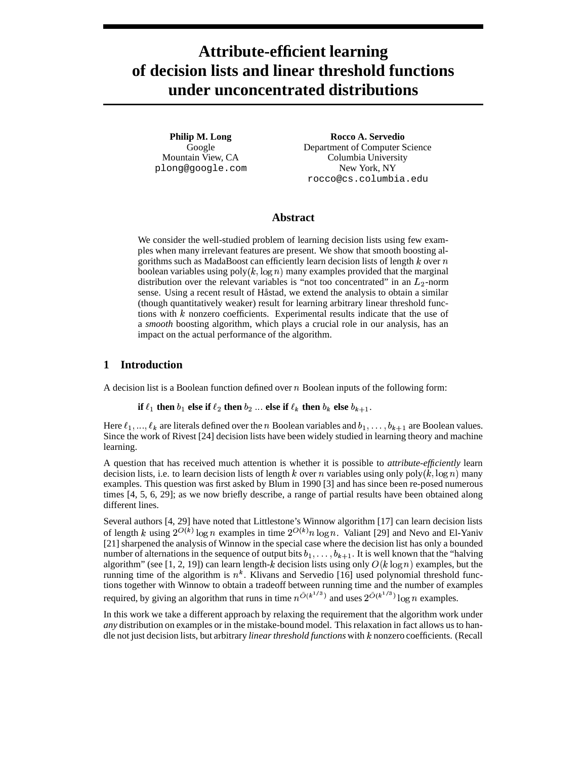# **Attribute-efficient learning of decision lists and linear threshold functions under unconcentrated distributions**

**Philip M. Long** Google Mountain View, CA plong@google.com

**Rocco A. Servedio** Department of Computer Science Columbia University New York, NY rocco@cs.columbia.edu

# **Abstract**

We consider the well-studied problem of learning decision lists using few examples when many irrelevant features are present. We show that smooth boosting algorithms such as MadaBoost can efficiently learn decision lists of length  $k$  over  $n$ boolean variables using poly $(k, \log n)$  many examples provided that the marginal distribution over the relevant variables is "not too concentrated" in an  $L_2$ -norm sense. Using a recent result of Håstad, we extend the analysis to obtain a similar (though quantitatively weaker) result for learning arbitrary linear threshold functions with  $k$  nonzero coefficients. Experimental results indicate that the use of a *smooth* boosting algorithm, which plays a crucial role in our analysis, has an impact on the actual performance of the algorithm.

# **1 Introduction**

A decision list is a Boolean function defined over  $n$  Boolean inputs of the following form:

**if**  $\ell_1$  then  $b_1$  else **if**  $\ell_2$  then  $b_2$  ... else **if**  $\ell_k$  then  $b_k$  else  $b_{k+1}$ .

Here  $\ell_1, ..., \ell_k$  are literals defined over the *n* Boolean variables and  $b_1, ..., b_{k+1}$  are Boolean values. Since the work of Rivest [24] decision lists have been widely studied in learning theory and machine learning.

A question that has received much attention is whether it is possible to *attribute-efficiently* learn decision lists, i.e. to learn decision lists of length k over n variables using only  $poly(k, \log n)$  many examples. This question was first asked by Blum in 1990 [3] and has since been re-posed numerous times [4, 5, 6, 29]; as we now briefly describe, a range of partial results have been obtained along different lines.

Several authors [4, 29] have noted that Littlestone's Winnow algorithm [17] can learn decision lists of length k using  $2^{O(k)} \log n$  examples in time  $2^{O(k)} n \log n$ . Valiant [29] and Nevo and El-Yaniv [21] sharpened the analysis of Winnow in the special case where the decision list has only a bounded number of alternations in the sequence of output bits  $b_1, \ldots, b_{k+1}$ . It is well known that the "halving" algorithm" (see [1, 2, 19]) can learn length-k decision lists using only  $O(k \log n)$  examples, but the running time of the algorithm is  $n^k$ . Klivans and Servedio [16] used polynomial threshold functions together with Winnow to obtain a tradeoff between running time and the number of examples required, by giving an algorithm that runs in time  $n^{\tilde{O}(k^{1/3})}$  and uses  $2^{\tilde{O}(k^{1/3})} \log n$  examples.

In this work we take a different approach by relaxing the requirement that the algorithm work under *any* distribution on examples or in the mistake-bound model. This relaxation in fact allows us to handle not just decision lists, but arbitrary *linear threshold functions* with nonzero coefficients. (Recall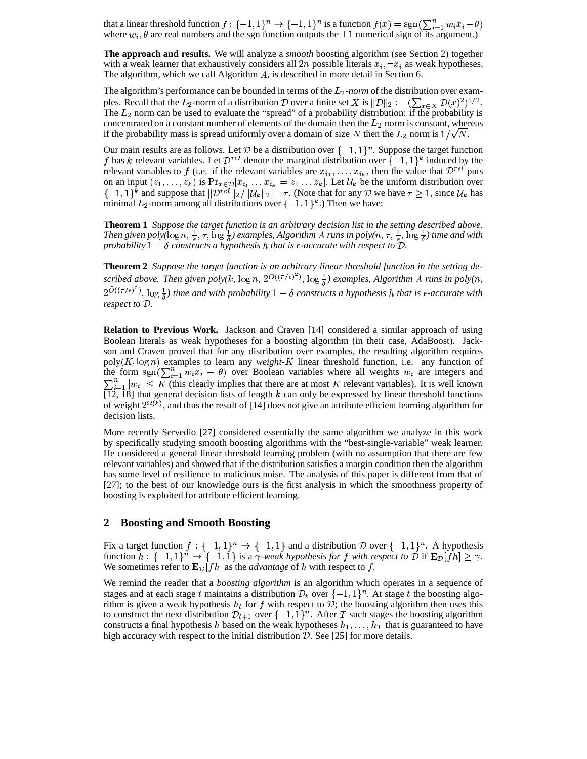that a linear threshold function  $f: \{-1,1\}^n \to \{-1,1\}^n$  is a function  $f(x) = \text{sgn}(\sum_{i=1}^n w_i x_i - \theta)$ where  $w_i$ ,  $\theta$  are real numbers and the sgn function outputs the  $\pm 1$  numerical sign of its argument.)

**The approach and results.** We will analyze a *smooth* boosting algorithm (see Section 2) together with a weak learner that exhaustively considers all  $2n$  possible literals  $x_i, \neg x_i$  as weak hypotheses. The algorithm, which we call Algorithm  $A$ , is described in more detail in Section 6.

The algorithm's performance can be bounded in terms of the  $L_2$ -norm of the distribution over examples. Recall that the  $L_2$ -norm of a distribution  $\mathcal D$  over a finite set  $X$  is  $\|\mathcal D\|_2 := (\sum_{x \in X} \mathcal D(x)^2)^{1/2}$ .<br>The  $L_2$  norm can be used to evaluate the "spread" of a probability distribution: if the probability i concentrated on a constant number of elements of the domain then the  $L_2$  norm is constant, whereas if the probability mass is spread uniformly over a domain of size N then the  $L_2$  norm is  $1/\sqrt{N}$ .

Our main results are as follows. Let D be a distribution over  $\{-1,1\}^n$ . Suppose the target function f has k relevant variables. Let  $\mathcal{D}^{rel}$  denote the marginal distribution over  $\{-1,1\}^k$  induced by the relevant variables to f (i.e. if the relevant variables are  $x_{i_1}, \ldots, x_{i_k}$ , then the value that  $\mathcal{D}^{rel}$  puts on an input  $(z_1, \ldots, z_k)$  is  $Pr_{x \in \mathcal{D}}[x_{i_1} \ldots x_{i_k} = z_1 \ldots z_k]$ . Let  $\mathcal{U}_k$  be the uniform distribution over  $\{-1, 1\}^k$  and suppose that  $||\mathcal{D}^{rel}||_2/||\mathcal{U}_k||_2 = \tau$ . (Note that for any  $\mathcal{D}$  we have  $\tau \geq 1$ , since  $\mathcal{U}_k$  has minimal  $L_2$ -norm among all distributions over  $\{-1,1\}^k$ .) Then we have:

**Theorem 1** *Suppose the target function is an arbitrary decision list in the setting described above. Then* given  $poly(\log n, \frac{1}{\epsilon}, \tau, \log \frac{1}{\delta})$  examples, Algorithm A runs in  $poly(n, \tau, \frac{1}{\epsilon}, \log \frac{1}{\delta})$  time and with *probability*  $1 - \delta$  *constructs a hypothesis h that is*  $\epsilon$ *-accurate with respect to*  $\tilde{D}$ *.* 

**Theorem 2** *Suppose the target function is an arbitrary linear threshold function in the setting de-*R scribed above. Then given  $poly(k, \log n, 2^{O((\tau/\epsilon)^2)}, \log \frac{1}{\delta})$  examples, Algorithm A runs in  $poly(n,$  $2^{O((\tau/\epsilon)^2)}$ ,  $\log \frac{1}{\delta}$  *time and with probability*  $1-\delta$  *constructs a hypothesis h that is*  $\epsilon$ -accurate *with respect to*  $\mathcal{D}$ *.* 

**Relation to Previous Work.** Jackson and Craven [14] considered a similar approach of using Boolean literals as weak hypotheses for a boosting algorithm (in their case, AdaBoost). Jackson and Craven proved that for any distribution over examples, the resulting algorithm requires  $poly(K, \log n)$  examples to learn any *weight-K* linear threshold function, i.e. any function of the form  $sgn(\sum_{i=1}^n w_i x_i - \theta)$  over Boolean variables where all weights  $w_i$  are integers and  $\sum_{i=1}^n |w_i| \leq K$  (this clearly implies that there are at most K relevant variables). It is well known  $[12, 18]$  that general decision lists of length k can only be expressed by linear threshold functions of weight  $2^{\Omega(k)}$ , and thus the result of [14] does not give an attribute efficient learning algorithm for decision lists.

More recently Servedio [27] considered essentially the same algorithm we analyze in this work by specifically studying smooth boosting algorithms with the "best-single-variable" weak learner. He considered a general linear threshold learning problem (with no assumption that there are few relevant variables) and showed that if the distribution satisfies a margin condition then the algorithm has some level of resilience to malicious noise. The analysis of this paper is different from that of [27]; to the best of our knowledge ours is the first analysis in which the smoothness property of boosting is exploited for attribute efficient learning.

## **2 Boosting and Smooth Boosting**

Fix a target function  $f: \{-1,1\}^n \to \{-1,1\}$  and a distribution D over  $\{-1,1\}^n$ . A hypothesis function  $h: \{-1,1\}^n \to \{-1,1\}$  is a  $\gamma$ -weak hypothesis for f with respect to D if  $\mathbf{E}_{\mathcal{D}}[fh] \geq \gamma$ . We sometimes refer to  $\mathbf{E}_{\mathcal{D}}[fh]$  as the *advantage* of h with respect to f.

We remind the reader that a *boosting algorithm* is an algorithm which operates in a sequence of stages and at each stage t maintains a distribution  $\mathcal{D}_t$  over  $\{-1, 1\}^n$ . At stage t the boosting algorithm is given a weak hypothesis  $h_t$  for f with respect to D; the boosting algorithm then uses this to construct the next distribution  $\mathcal{D}_{t+1}$  over  $\{-1,1\}^n$ . After T such stages the boosting algorithm constructs a final hypothesis h based on the weak hypotheses  $h_1, \ldots, h_T$  that is guaranteed to have high accuracy with respect to the initial distribution  $D$ . See [25] for more details.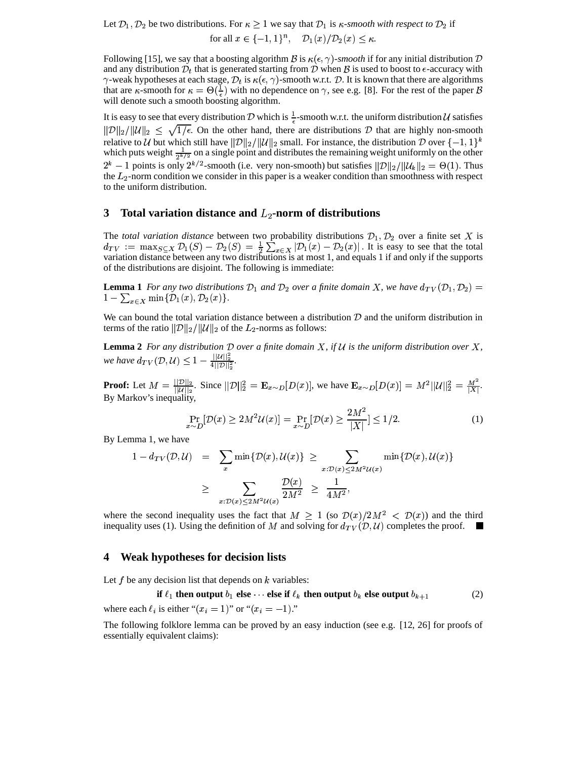Let  $\mathcal{D}_1$ ,  $\mathcal{D}_2$  be two distributions. For  $\kappa \geq 1$  we say that  $\mathcal{D}_1$  is  $\kappa$ -smooth with respect to  $\mathcal{D}_2$  if for all  $x \in \{-1,1\}^n$ ,  $\mathcal{D}_1(x)/\mathcal{D}_2(x) \leq \kappa$ .

Following [15], we say that a boosting algorithm B is  $\kappa(\epsilon, \gamma)$ -smooth if for any initial distribution D and any distribution  $\mathcal{D}_t$  that is generated starting from  $\mathcal D$  when  $\mathcal B$  is used to boost to  $\epsilon$ -accuracy with  $\gamma$ -weak hypotheses at each stage,  $\mathcal{D}_t$  is  $\kappa(\epsilon, \gamma)$ -smooth w.r.t.  $\mathcal{D}$ . It is known that there are algorithms that are  $\kappa$ -smooth for  $\kappa = \Theta(\frac{1}{\epsilon})$  with no dependence on  $\gamma$ , see e.g. [8]. For the rest of the paper  $\beta$ will denote such a smooth boosting algorithm.

It is easy to see that every distribution D which is  $\frac{1}{\epsilon}$ -smooth w.r.t. the uniform distribution U satisfies  $||\mathcal{D}||_2/||\mathcal{U}||_2 \leq \sqrt{1/\epsilon}$ . On the other hand, there are distributions  $\mathcal{D}$  that are highly non-smooth relative to *U* but which still have  $||\mathcal{D}||_2/||\mathcal{U}||_2$  small. For instance, the distribution D over  $\{-1,1\}^k$ which puts weight  $\frac{1}{2^{k/2}}$  on a single point and distributes the remaining weight uniformly on the other  $2^k - 1$  points is only  $2^{k/2}$ -smooth (i.e. very non-smooth) but satisfies  $||\mathcal{D}||_2/||\mathcal{U}_k||_2 = \Theta(1)$ . Thus the  $L_2$ -norm condition we consider in this paper is a weaker condition than smoothness with respect to the uniform distribution.

# **3 Total variation distance and**  $L_2$ **-norm of distributions**

The *total variation distance* between two probability distributions  $\mathcal{D}_1, \mathcal{D}_2$  over a finite set X is  $d_{TV} := \max_{S \subset X} \mathcal{D}_1(S) - \mathcal{D}_2(S) = \frac{1}{2} \sum_{x \in X} |\mathcal{D}_1(x) - \mathcal{D}_2(x)|$ . It is easy to see that the total variation distance between any two distributions is at most 1, and equals 1 if and only if the supports of the distributions are disjoint. The following is immediate:

**Lemma** 1 *For any two distributions*  $\mathcal{D}_1$  *and*  $\mathcal{D}_2$  *over a finite domain X, we have*  $d_{TV}(\mathcal{D}_1, \mathcal{D}_2)$  =  $1-\sum_{x\in \mathbf{Y}} \min\{\mathcal{D}_1(x), \mathcal{D}_2(x)\}.$ 

We can bound the total variation distance between a distribution  $D$  and the uniform distribution in terms of the ratio  $||\mathcal{D}||_2/||\mathcal{U}||_2$  of the  $L_2$ -norms as follows:

**Lemma** 2 For any distribution  $D$  over a finite domain  $X$ , if  $U$  is the uniform distribution over  $X$ , *we have*  $d_{TV}(\mathcal{D}, \mathcal{U}) \leq 1 - \frac{||\mathcal{U}||_2}{4||\mathcal{D}||_2^2}$ .

**Proof:** Let  $M = \frac{||D||_2}{||U||_2}$ . Since  $||D||_2^2 = \mathbf{E}_{x \sim D}[D(x)]$ , we have  $\mathbf{E}_{x \sim D}[D(x)] = M^2 ||U||_2^2 = \frac{M^2}{|X|}$ . By Markov's inequality,

$$
\Pr_{x \sim D}[\mathcal{D}(x) \ge 2M^2 \mathcal{U}(x)] = \Pr_{x \sim D}[\mathcal{D}(x) \ge \frac{2M^2}{|X|}] \le 1/2.
$$
 (1)

By Lemma 1, we have

$$
1 - d_{TV}(\mathcal{D}, \mathcal{U}) = \sum_{x} \min \{ \mathcal{D}(x), \mathcal{U}(x) \} \ge \sum_{x: \mathcal{D}(x) \le 2M^2 \mathcal{U}(x)} \min \{ \mathcal{D}(x), \mathcal{U}(x) \}
$$

$$
\ge \sum_{x: \mathcal{D}(x) \le 2M^2 \mathcal{U}(x)} \frac{\mathcal{D}(x)}{2M^2} \ge \frac{1}{4M^2},
$$

where the second inequality uses the fact that  $M \geq 1$  (so  $\mathcal{D}(x)/2M^2 < \mathcal{D}(x)$ ) and the third inequality uses (1). Using the definition of M and solving for  $d_{TV}(\mathcal{D}, \mathcal{U})$  completes the proof.  $\blacksquare$ 

#### **4 Weak hypotheses for decision lists**

Let  $f$  be any decision list that depends on  $k$  variables:

**if**  $\ell_1$  then output  $b_1$  else  $\cdots$  else if  $\ell_k$  then output  $b_k$  else output  $b_{k+1}$  (2) where each  $\ell_i$  is either " $(x_i = 1)$ " or " $(x_i = -1)$ ."

The following folklore lemma can be proved by an easy induction (see e.g. [12, 26] for proofs of essentially equivalent claims):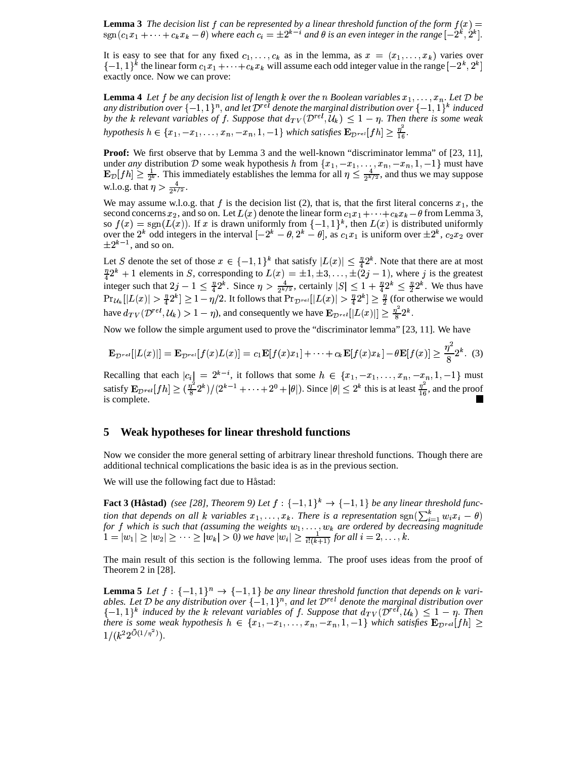**Lemma** 3 The decision list f can be represented by a linear threshold function of the form  $f(x) =$  $\text{sgn}(c_1x_1+\cdots+c_kx_k-\theta)$  where each  $c_i=\pm 2^{k-i}$  and  $\theta$  is an even integer in the range  $[-2^k,2^k].$ 

It is easy to see that for any fixed  $c_1, \ldots, c_k$  as in the lemma, as  $x = (x_1, \ldots, x_k)$  varies over  $\{-1, 1\}^k$  the linear form  $c_1 x_1 + \cdots + c_k x_k$  will assume each odd integer value in the range  $[-2^k, 2^k]$ exactly once. Now we can prove:

**Lemma** 4 Let f be any decision list of length k over the n Boolean variables  $x_1, \ldots, x_n$ . Let D be any distribution over  $\{-1,1\}^n,$  and let  ${\cal D}^{rel}$  denote the marginal distribution over  $\{-1,1\}^k$  induced *by* the k relevant variables of f. Suppose that  $d_{TV}(\mathcal{D}^{rel}, \mathcal{U}_k) \leq 1 - \eta$ . Then there is some weak hypothesis  $h \in \{x_1, -x_1, \ldots, x_n, -x_n, 1, -1\}$  which satisfies  $\mathbf{E}_{\mathcal{D}^{rel}}[fh] \geq \frac{\eta^2}{16}$ .

**Proof:** We first observe that by Lemma 3 and the well-known "discriminator lemma" of [23, 11], under *any* distribution D some weak hypothesis h from  $\{x_1, -x_1, \ldots, x_n, -x_n, 1, \ldots, x_n\}$  $, -x_n, 1, -1$ } must have  $\mathbf{E}_{\mathcal{D}}[fh] \geq \frac{1}{2^k}$ . This immediately establishes the lemma for all  $\eta \leq \frac{4}{2^{k/2}}$ , and thus is immediately establishes the lemma for all  $\eta \leq \frac{4}{2^{k/2}}$ , and thus we may suppose w.l.o.g. that  $\eta > \frac{4}{2^{k/2}}$ .

We may assume w.l.o.g. that  $f$  is the decision list (2), that is, that the first literal concerns  $x_1$ , the second concerns  $x_2$ , and so on. Let  $L(x)$  denote the linear form  $c_1x_1 + \cdots + c_kx_k - \theta$  from Lemma 3, so  $f(x) = sgn(L(x))$ . If x is drawn uniformly from  $\{-1,1\}^k$ , then  $L(x)$  is distributed uniformly over the  $2^k$  odd integers in the interval  $[-2^k - \theta, 2^k - \theta]$ , as  $c_1x_1$  is uniform over  $\pm 2^k$ ,  $c_2x_2$  over  $\pm 2^{k-1}$ , and so on.

Let S denote the set of those  $x \in \{-1,1\}^k$  that satisfy  $|L(x)| \leq \frac{7}{4}2^k$ . Note that there are at most  $\frac{\pi}{4}2^k + 1$  elements in S, corresponding to  $L(x) = \pm 1, \pm 3, \ldots, \pm (2j - 1)$ , where j is the greatest integer such that  $2j - 1 \leq \frac{\eta}{4} 2^k$ . Since  $\eta > \frac{4}{2k/2}$ , certain  $\frac{4}{2^{k/2}}$ , certainly  $|S| \leq 1 + \frac{\eta}{4} 2^k \leq \frac{\eta}{2} 2^k$ . We thus have  $\Pr_{\mathcal{U}_k}[|L(x)| > \frac{\eta}{4} 2^k] \ge 1 - \eta/2$ . It follows that  $\Pr_{\mathcal{D}^{rel}}[|L(x)| > \frac{\eta}{4} 2^k] \ge \frac{\eta}{2}$  (for otherwise we would have  $d_{TV}(\mathcal{D}^{rel}, \mathcal{U}_k) > 1 - \eta$ ), and consequently we have  $\mathbf{E}_{\mathcal{D}^{rel}}[|L(x)|] \geq \frac{\eta}{8} 2^k$ .

Now we follow the simple argument used to prove the "discriminator lemma" [23, 11]. We have

$$
\mathbf{E}_{\mathcal{D}^{rel}}[|L(x)|] = \mathbf{E}_{\mathcal{D}^{rel}}[f(x)L(x)] = c_1 \mathbf{E}[f(x)x_1] + \cdots + c_k \mathbf{E}[f(x)x_k] - \theta \mathbf{E}[f(x)] \ge \frac{\eta^2}{8} 2^k. \tag{3}
$$

Recalling that each  $|c_i| = 2^{k-i}$ , it follows that some  $h \in \{x_1, -x_1, \ldots, x_n, -x_n, 1, \ldots, x_n\}$  $\{-x_n, 1, -1\}$  must satisfy  $\mathbf{E}_{\mathcal{D}^{rel}}[fh] \geq \left(\frac{\eta^2}{2}2^k\right)/(2^{k-1}+\cdots+2^0+|\theta|)$ . Since  $|\theta| \leq 2^k$  this is at least  $\frac{\eta^2}{16}$ , and the proof is complete.

## **5 Weak hypotheses for linear threshold functions**

Now we consider the more general setting of arbitrary linear threshold functions. Though there are additional technical complications the basic idea is as in the previous section.

We will use the following fact due to Håstad:

**Fact 3 (Håstad)** (see [28], Theorem 9) Let  $f : \{-1,1\}^k \rightarrow \{-1,1\}$  be any linear threshold func*tion that depends on all k variables*  $x_1, \ldots, x_k$ . There is a representation  $sgn(\sum_{i=1}^k w_i x_i - \theta)$ for  $f$  which is such that (assuming the weights  $w_1, \ldots, w_k$  are ordered by decreasing magnitude  $1 = |w_1| \ge |w_2| \ge \cdots \ge |w_k| > 0$ ) we have  $|w_i| \ge \frac{1}{i!(k+1)}$  for all  $i = 2, \ldots, k$ .

The main result of this section is the following lemma. The proof uses ideas from the proof of Theorem 2 in [28].

**Lemma 5** *Let*  $f : \{-1, 1\}^n \to \{-1, 1\}$  *be any linear threshold function that depends on k variables. Let*  $D$  *be any distribution over*  $\{-1,1\}^n$ , *and let*  $D^{rel}$  *denote the marginal distribution over*  $\{-1,1\}^k$  induced by the k relevant variables of f. Suppose that  $d_{TV}(\mathcal{D}^{rel}, \mathcal{U}_k) \leq 1-\eta$ . Then *there* is some weak hypothesis  $h \in \{x_1, -x_1, \ldots, x_n, -x_n, 1, -1\}$  which satisfies  $\mathbf{E}_{\mathcal{D}^{rel}}[fh] \geq$  $1/(k^2 2^{O(1/\eta^2)})$ .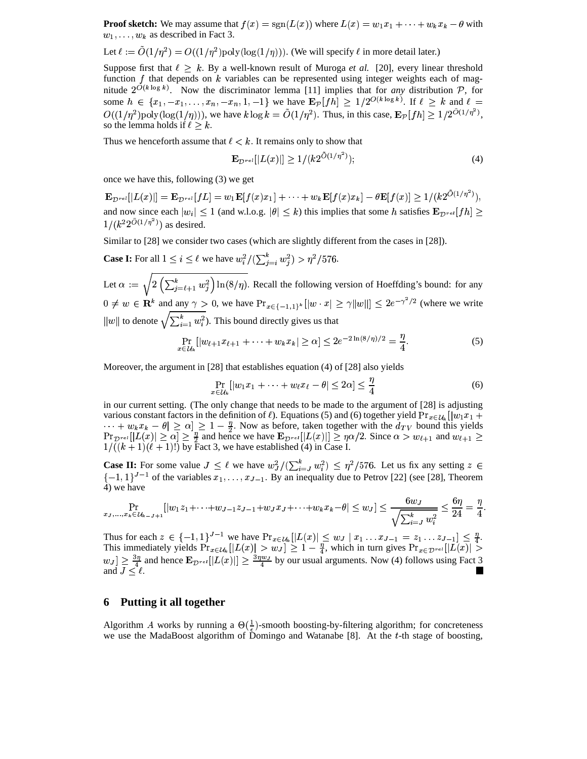**Proof sketch:** We may assume that  $f(x) = \text{sgn}(L(x))$  where  $L(x) = w_1 x_1 + \cdots + w_k x_k - \theta$  with  $w_1, \ldots, w_k$  as described in Fact 3.

Let 
$$
\ell := \tilde{O}(1/\eta^2) = O((1/\eta^2) \text{poly}(\log(1/\eta)))
$$
. (We will specify  $\ell$  in more detail later.)

Suppose first that  $\ell \geq k$ . By a well-known result of Muroga *et al.* [20], every linear threshold function  $f$  that depends on  $k$  variables can be represented using integer weights each of magnitude  $2^{O(k \log k)}$ . Now the discriminator lemma [11] implies that for *any* distribution P, for some  $h \in \{x_1, -x_1, \ldots, x_n, -x_n, 1, -1\}$  we have  $\mathbf{E}_{\mathcal{P}}[fh] \geq 1/2^{O(k \log k)}$ . If  $\ell \geq k$  and  $\ell =$  $\cdots$ ,  $\cdots$ ,  $\cdots$  $O((1/\eta^2) \text{poly}(\log(1/\eta)))$ , we have  $k \log k = \tilde{O}(1/\eta^2)$ . Thus, in this case,  $\mathbf{E}_{\mathcal{P}}[fh] \geq 1/2^{O(1/\eta^2)}$ , so the lemma holds if  $\ell \geq k$ .

Thus we henceforth assume that  $\ell < k$ . It remains only to show that

$$
\mathbf{E}_{\mathcal{D}^{rel}}[|L(x)|] \ge 1/(k2^{O(1/\eta^2)}); \tag{4}
$$

once we have this, following (3) we get

 $\mathbf{E}_{\mathcal{D}^{rel}}[|L(x)|] = \mathbf{E}_{\mathcal{D}^{rel}}[fL] = w_1\mathbf{E}[f(x)x_1] + \cdots + w_k\mathbf{E}[f(x)x_k] - \theta\mathbf{E}[f(x)] \geq 1/(k2^{O(1/\eta^2)}),$ and now since each  $|w_i| \le 1$  (and w.l.o.g.  $|\theta| \le k$ ) this implies that some h satisfies  $\mathbf{E}_{\mathcal{D}^{rel}}[fh] \ge$  $1/(k^2 2^{O(1/\eta^2)})$  as desired.

Similar to [28] we consider two cases (which are slightly different from the cases in [28]).

**Case I:** For all  $1 \le i \le \ell$  we have  $w_i^2 / (\sum_{i=i}^k w_i^2) > \eta^2 / 576$ .

Let  $\alpha := \sqrt{2\left(\sum_{i=\ell+1}^k w_i^2\right) \ln(8/\eta)}$ . Recall the following version of Hoeffding's bound: for any  $0 \neq w \in \mathbf{R}^k$  and any  $\gamma > 0$ , we have  $Pr_{x \in \{-1,1\}^k}[|w \cdot x| \geq \gamma ||w||] \leq 2e^{-\gamma^2/2}$  (where we write  $||w||$  to denote  $\sqrt{\sum_{i=1}^k w_i^2}$ . This bound directly gives us that

$$
\Pr_{x \in \mathcal{U}_k} [|w_{\ell+1} x_{\ell+1} + \dots + w_k x_k| \ge \alpha] \le 2e^{-2\ln(8/\eta)/2} = \frac{\eta}{4}.
$$
 (5)

Moreover, the argument in [28] that establishes equation (4) of [28] also yields

$$
\Pr_{x \in \mathcal{U}_k} [|w_1 x_1 + \dots + w_\ell x_\ell - \theta| \leq 2\alpha] \leq \frac{\eta}{4} \tag{6}
$$

in our current setting. (The only change that needs to be made to the argument of [28] is adjusting various constant factors in the definition of  $\ell$ ). Equations (5) and (6) together yield  $Pr_{x \in \mathcal{U}_k} [|w_1 x_1 +$  $\cdots + w_k x_k - \theta \geq \alpha \geq 1 - \frac{\eta}{2}$ . Now as before, taken together with the  $d_{TV}$  bound this yields  $\Pr_{\mathcal{D}^{rel}}[|L(x)| \ge \alpha] \ge \frac{\eta}{2}$  and hence we have  $\mathbf{E}_{\mathcal{D}^{rel}}[|L(x)|] \ge \eta \alpha/2$ . Since  $\alpha > w_{\ell+1}$  and  $w_{\ell+1} \ge$  $1/((k+1)(\ell+1)!)$  by Fact 3, we have established (4) in Case I.

**Case II:** For some value  $J \leq \ell$  we have  $w_J^2/(\sum_{i=1}^k w_i^2) \leq \eta^2/576$ . Let us fix any setting  $z \in$  $\{-1,1\}^{J-1}$  of the variables  $x_1, \ldots, x_{J-1}$ . By an inequality due to Petrov [22] (see [28], Theorem 4) we have

$$
\Pr_{ x_J,...,x_k \in \mathcal{U}_{k-J+1} }[|w_1z_1 + \cdots + w_{J-1}z_{J-1} + w_Jx_J + \cdots + w_kx_k - \theta| \leq w_J] \leq \frac{6w_J}{\sqrt{\sum_{i=J}^k w_i^2}} \leq \frac{6\eta}{24} = \frac{\eta}{4}.
$$

Thus for each  $z \in \{-1,1\}^{J-1}$  we have  $\Pr_{x \in \mathcal{U}_k} | |L(x)| \leq w_J | x_1 \dots x_{J-1} = z_1 \dots z_{J-1} | \leq \frac{\eta}{4}$ .<br>This immediately yields  $\Pr_{x \in \mathcal{U}_k} | |L(x)| > w_J | \geq 1 - \frac{\eta}{4}$ , which in turn gives  $\Pr_{x \in \mathcal{D}^{rel}} | |L(x)| > \frac{\eta}{2}$ .  $w_J \geq \frac{3\eta}{4}$  and hence  $\mathbf{E}_{\mathcal{D}^{rel}}[|L(x)|] \geq \frac{3\eta w_J}{4}$  by our usual arguments. Now (4) follows using Fact 3 and  $J \leq \ell$ .

## **6 Putting it all together**

Algorithm A works by running a  $\Theta(\frac{1}{\epsilon})$ -smooth boosting-by-filtering algorithm; for concreteness we use the MadaBoost algorithm of Domingo and Watanabe [8]. At the t-th stage of boosting,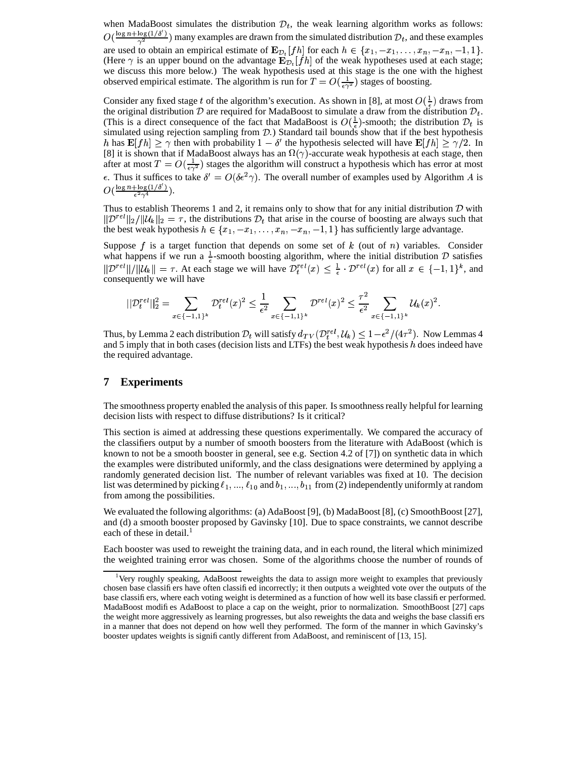when MadaBoost simulates the distribution  $\mathcal{D}_t$ , the weak learning algorithm works as follows:  $O(\frac{\log n + \log(1/\delta')}{\gamma^2})$  many examples are drawn from the simulated distribution  $\mathcal{D}_t$ , and these examples are used to obtain an empirical estimate of  $\mathbf{E}_{\mathcal{D}_t}[fh]$  for each  $h \in \{x_1, -x_1, \dots, x_n, -x_n, -1, 1\}$ . (Here  $\gamma$  is an upper bound on the advantage  $\mathbf{E}_{\mathcal{D}_t}[fh]$  of the weak hypotheses used at each stage; we discuss this more below.) The weak hypothesis used at this stage is the one with the highest observed empirical estimate. The algorithm is run for  $T = O(\frac{1}{\epsilon \gamma^2})$  stages of boosting.

Consider any fixed stage t of the algorithm's execution. As shown in [8], at most  $O(\frac{1}{\epsilon})$  draws from the original distribution  $\mathcal D$  are required for MadaBoost to simulate a draw from the distribution  $\mathcal D_t$ . (This is a direct consequence of the fact that MadaBoost is  $O(\frac{1}{\epsilon})$ -smooth; the distribution  $\mathcal{D}_t$  is simulated using rejection sampling from  $D$ .) Standard tail bounds show that if the best hypothesis h has  $\mathbf{E}[fh] \ge \gamma$  then with probability  $1 - \delta'$  the hypothesis selected will have  $\mathbf{E}[fh] \ge \gamma/2$ . In [8] it is shown that if MadaBoost always has an  $\Omega(\gamma)$ -accurate weak hypothesis at each stage, then after at most  $T = O(\frac{1}{\epsilon \gamma^2})$  stages the algorithm will construct a hypothesis which has error at most  $\epsilon$ . Thus it suffices to take  $\delta' = O(\delta \epsilon^2 \gamma)$ . The overall number of examples used by Algorithm A is  $O(\frac{\log n + \log(1/\delta')}{\epsilon^2 \gamma^4}).$ 

Thus to establish Theorems 1 and 2, it remains only to show that for any initial distribution  $D$  with  $\|{\mathcal D}^{rel}\|_2/\|{\mathcal U}_k\|_2 = \tau$ , the distributions  ${\mathcal D}_t$  that arise in the course of boosting are always such that the best weak hypothesis  $h \in \{x_1, -x_1, \ldots, x_n, -x_n, -1, 1\}$  has sufficiently large advantage.

Suppose f is a target function that depends on some set of  $k$  (out of  $n$ ) variables. Consider what happens if we run a  $\frac{1}{6}$ -smooth boosting algorithm, where the initial distribution D satisfies  $||\mathcal{D}^{rel}||/||\mathcal{U}_k|| = \tau$ . At each stage we will have  $\mathcal{D}_t^{rel}(x) \leq \frac{1}{\epsilon} \cdot \mathcal{D}^{rel}(x)$  for all  $x \in \{-1,1\}^k$ , and consequently we will have

$$
||\mathcal{D}^{rel}_t||_2^2 = \sum_{x \in \{-1,1\}^k} \mathcal{D}^{rel}_t(x)^2 \leq \frac{1}{\epsilon^2} \sum_{x \in \{-1,1\}^k} \mathcal{D}^{rel}(x)^2 \leq \frac{\tau^2}{\epsilon^2} \sum_{x \in \{-1,1\}^k} \mathcal{U}_k(x)^2.
$$

Thus, by Lemma 2 each distribution  $\mathcal{D}_t$  will satisfy  $d_{TV}(\mathcal{D}_t^{rel}, \mathcal{U}_k)$  $J(\mathcal{U}_k) \leq 1 - \epsilon^2/(4\tau^2)$ . Now Lemmas 4 and 5 imply that in both cases (decision lists and LTFs) the best weak hypothesis  $h$  does indeed have the required advantage.

## **7 Experiments**

The smoothness property enabled the analysis of this paper. Is smoothnessreally helpful for learning decision lists with respect to diffuse distributions? Is it critical?

This section is aimed at addressing these questions experimentally. We compared the accuracy of the classifiers output by a number of smooth boosters from the literature with AdaBoost (which is known to not be a smooth booster in general, see e.g. Section 4.2 of [7]) on synthetic data in which the examples were distributed uniformly, and the class designations were determined by applying a randomly generated decision list. The number of relevant variables was fixed at 10. The decision list was determined by picking  $\ell_1, ..., \ell_{10}$  and  $b_1, ..., b_{11}$  from (2) independently uniformly at random from among the possibilities.

We evaluated the following algorithms: (a) AdaBoost [9], (b) MadaBoost [8], (c) SmoothBoost [27], and (d) a smooth booster proposed by Gavinsky [10]. Due to space constraints, we cannot describe each of these in detail. $<sup>1</sup>$ </sup>

Each booster was used to reweight the training data, and in each round, the literal which minimized the weighted training error was chosen. Some of the algorithms choose the number of rounds of

<sup>&</sup>lt;sup>1</sup>Very roughly speaking, AdaBoost reweights the data to assign more weight to examples that previously chosen base classifiers have often classified incorrectly; it then outputs a weighted vote over the outputs of the base classifiers, where each voting weight is determined as a function of how well its base classifier performed. MadaBoost modifies AdaBoost to place a cap on the weight, prior to normalization. SmoothBoost [27] caps the weight more aggressively as learning progresses, but also reweights the data and weighs the base classifiers in a manner that does not depend on how well they performed. The form of the manner in which Gavinsky's booster updates weights is significantly different from AdaBoost, and reminiscent of [13, 15].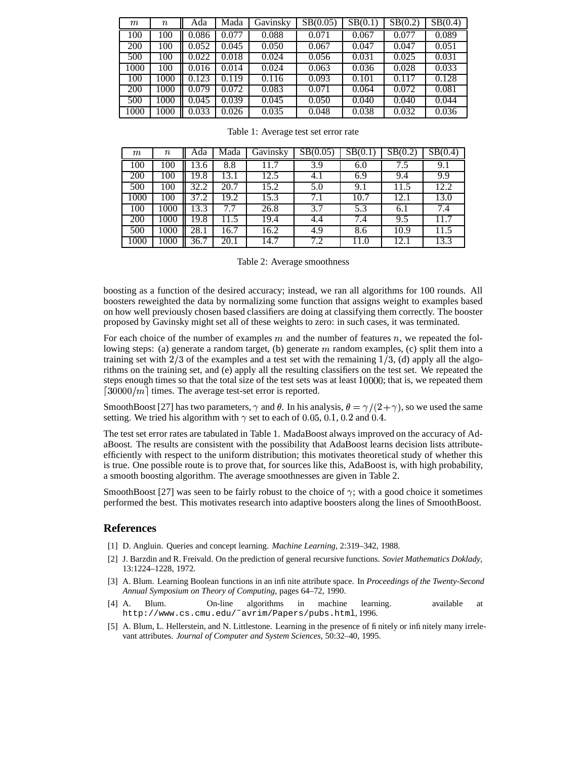| $\,m$      | $\it n$ | Ada   | Mada  | Gavinsky | SB(0.05) | $\overline{\text{SB}}(0.1)$ | SB(0.2) | $\overline{\text{SB}}(0.4)$ |
|------------|---------|-------|-------|----------|----------|-----------------------------|---------|-----------------------------|
| 100        | 100     | 0.086 | 0.077 | 0.088    | 0.071    | 0.067                       | 0.077   | 0.089                       |
| 200        | 100     | 0.052 | 0.045 | 0.050    | 0.067    | 0.047                       | 0.047   | 0.051                       |
| 500        | 100     | 0.022 | 0.018 | 0.024    | 0.056    | 0.031                       | 0.025   | 0.031                       |
| 1000       | 100     | 0.016 | 0.014 | 0.024    | 0.063    | 0.036                       | 0.028   | 0.033                       |
| 100        | 1000    | 0.123 | 0.119 | 0.116    | 0.093    | 0.101                       | 0.117   | 0.128                       |
| <b>200</b> | 1000    | 0.079 | 0.072 | 0.083    | 0.071    | 0.064                       | 0.072   | 0.081                       |
| 500        | 1000    | 0.045 | 0.039 | 0.045    | 0.050    | 0.040                       | 0.040   | 0.044                       |
| 1000       | 1000    | 0.033 | 0.026 | 0.035    | 0.048    | 0.038                       | 0.032   | 0.036                       |

| $\,m$ | $\it n$ | Ada  | Mada | Gavinsky | $\overline{SB}(0.05)$ | $\overline{\text{SB}}(0.1)$ | $\overline{SB}(0.2)$ | $\overline{\text{SB}}(0.4)$ |
|-------|---------|------|------|----------|-----------------------|-----------------------------|----------------------|-----------------------------|
| 100   | 100     | 13.6 | 8.8  | 11.7     | 3.9                   | 6.0                         | 7.5                  | 9.1                         |
| 200   | 100     | 19.8 | 13.1 | 12.5     | 4.1                   | 6.9                         | 9.4                  | 9.9                         |
| 500   | 100     | 32.2 | 20.7 | 15.2     | 5.0                   | 9.1                         | 11.5                 | 12.2                        |
| 1000  | 100     | 37.2 | 19.2 | 15.3     | 7.1                   | 10.7                        | 12.1                 | 13.0                        |
| 100   | 1000    | 13.3 |      | 26.8     | 3.7                   | 5.3                         | 6.1                  | 7.4                         |
| 200   | 1000    | 19.8 | 11.5 | 19.4     | 4.4                   | 7.4                         | 9.5                  | 11.7                        |
| 500   | 1000    | 28.1 | 16.7 | 16.2     | 4.9                   | 8.6                         | 10.9                 | 11.5                        |
| 1000  | 1000    | 36.7 | 20.1 | 14.7     | 7.2                   | 11.0                        | 12.1                 | 13.3                        |

|  | Table 1: Average test set error rate |  |  |  |  |
|--|--------------------------------------|--|--|--|--|
|--|--------------------------------------|--|--|--|--|

Table 2: Average smoothness

boosting as a function of the desired accuracy; instead, we ran all algorithms for 100 rounds. All boosters reweighted the data by normalizing some function that assigns weight to examples based on how well previously chosen based classifiers are doing at classifying them correctly. The booster proposed by Gavinsky might set all of these weights to zero: in such cases, it was terminated.

For each choice of the number of examples  $m$  and the number of features  $n$ , we repeated the following steps: (a) generate a random target, (b) generate  $m$  random examples, (c) split them into a training set with  $2/3$  of the examples and a test set with the remaining  $1/3$ , (d) apply all the algorithms on the training set, and (e) apply all the resulting classifiers on the test set. We repeated the steps enough times so that the total size of the test sets was at least 10000; that is, we repeated them  $[30000/m]$  times. The average test-set error is reported.

SmoothBoost [27] has two parameters,  $\gamma$  and  $\theta$ . In his analysis,  $\theta = \gamma/(2+\gamma)$ , so we used the same setting. We tried his algorithm with  $\gamma$  set to each of 0.05, 0.1, 0.2 and 0.4.

The test set error rates are tabulated in Table 1. MadaBoost always improved on the accuracy of AdaBoost. The results are consistent with the possibility that AdaBoost learns decision lists attributeefficiently with respect to the uniform distribution; this motivates theoretical study of whether this is true. One possible route is to prove that, for sources like this, AdaBoost is, with high probability, a smooth boosting algorithm. The average smoothnesses are given in Table 2.

SmoothBoost [27] was seen to be fairly robust to the choice of  $\gamma$ ; with a good choice it sometimes performed the best. This motivates research into adaptive boosters along the lines of SmoothBoost.

#### **References**

- [1] D. Angluin. Queries and concept learning. *Machine Learning*, 2:319–342, 1988.
- [2] J. Barzdin and R. Freivald. On the prediction of general recursive functions. *Soviet Mathematics Doklady*, 13:1224–1228, 1972.
- [3] A. Blum. Learning Boolean functions in an infinite attribute space. In *Proceedings of the Twenty-Second Annual Symposium on Theory of Computing*, pages 64–72, 1990.
- [4] A. Blum. On-line algorithms in machine learning. available at http://www.cs.cmu.edu/˜avrim/Papers/pubs.html, 1996.
- [5] A. Blum, L. Hellerstein, and N. Littlestone. Learning in the presence of finitely or infinitely many irrelevant attributes. *Journal of Computer and System Sciences*, 50:32–40, 1995.